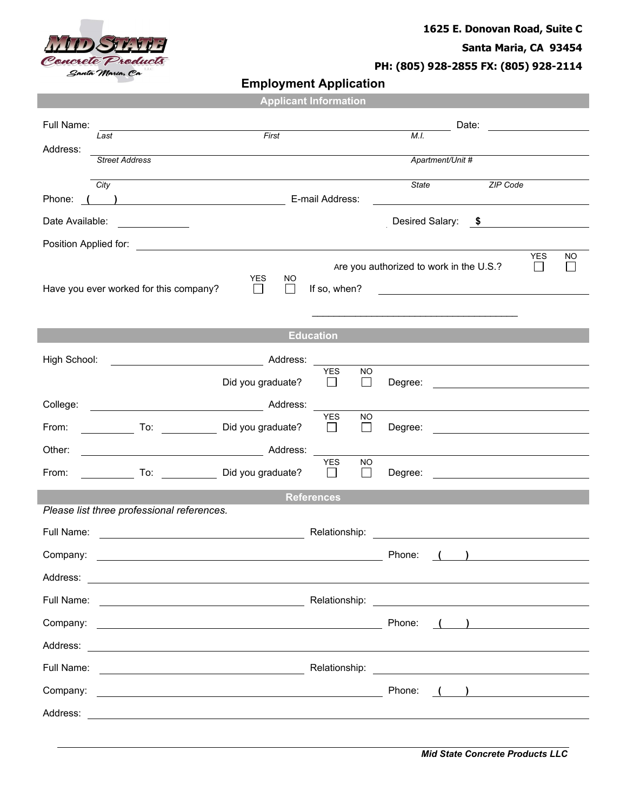

## **1625 E. Donovan Road, Suite C**

**Santa Maria, CA 93454**

**PH: (805) 928-2855 FX: (805) 928-2114**

**Employment Application**

|                                            |                                                                                                                                                                                                                                     | <b>Applicant Information</b> |                       |                     |       |                                                                                                                      |                                           |    |  |
|--------------------------------------------|-------------------------------------------------------------------------------------------------------------------------------------------------------------------------------------------------------------------------------------|------------------------------|-----------------------|---------------------|-------|----------------------------------------------------------------------------------------------------------------------|-------------------------------------------|----|--|
| Full Name:                                 |                                                                                                                                                                                                                                     |                              |                       |                     |       | Date:                                                                                                                | <u> 1970 - Jan Barat, prima politik (</u> |    |  |
| Last<br>Address:                           |                                                                                                                                                                                                                                     | First                        |                       |                     | M.I.  |                                                                                                                      |                                           |    |  |
| <b>Street Address</b>                      |                                                                                                                                                                                                                                     |                              |                       |                     |       | Apartment/Unit #                                                                                                     |                                           |    |  |
| City                                       |                                                                                                                                                                                                                                     |                              |                       |                     | State |                                                                                                                      | ZIP Code                                  |    |  |
|                                            |                                                                                                                                                                                                                                     |                              |                       |                     |       | <u> 1989 - Johann Stein, mars an t-Amerikaansk kommunister (</u>                                                     |                                           |    |  |
| Date Available:                            | <u> Alexandria (Carlo)</u>                                                                                                                                                                                                          |                              |                       |                     |       | Desired Salary: \$                                                                                                   |                                           |    |  |
|                                            | <b>YES</b>                                                                                                                                                                                                                          |                              |                       |                     |       |                                                                                                                      |                                           | ΝO |  |
|                                            | Are you authorized to work in the U.S.?<br><b>YES</b><br>NO.                                                                                                                                                                        |                              |                       |                     |       |                                                                                                                      |                                           |    |  |
| Have you ever worked for this company?     | $\Box$                                                                                                                                                                                                                              | П                            | If so, when?          |                     |       | <u> 1989 - Andrea Barbara, poeta esperanto-</u>                                                                      |                                           |    |  |
|                                            |                                                                                                                                                                                                                                     |                              |                       |                     |       |                                                                                                                      |                                           |    |  |
|                                            |                                                                                                                                                                                                                                     |                              | <b>Education</b>      |                     |       |                                                                                                                      |                                           |    |  |
| High School:                               |                                                                                                                                                                                                                                     |                              |                       |                     |       |                                                                                                                      |                                           |    |  |
|                                            | Did you graduate?                                                                                                                                                                                                                   |                              | <b>YES</b><br>$\perp$ | NO.<br>$\Box$       |       |                                                                                                                      |                                           |    |  |
|                                            |                                                                                                                                                                                                                                     |                              |                       |                     |       |                                                                                                                      |                                           |    |  |
| From:                                      | Did you graduate?                                                                                                                                                                                                                   |                              | <b>YES</b><br>$\Box$  | <b>NO</b><br>$\Box$ |       |                                                                                                                      |                                           |    |  |
| Other:                                     |                                                                                                                                                                                                                                     |                              |                       |                     |       |                                                                                                                      |                                           |    |  |
| From:                                      | To: Did you graduate?                                                                                                                                                                                                               |                              | <b>YES</b><br>$\Box$  | <b>NO</b><br>$\Box$ |       | Degree: <u>______________________________</u>                                                                        |                                           |    |  |
|                                            |                                                                                                                                                                                                                                     |                              | <b>References</b>     |                     |       |                                                                                                                      |                                           |    |  |
| Please list three professional references. |                                                                                                                                                                                                                                     |                              |                       |                     |       |                                                                                                                      |                                           |    |  |
| Full Name:                                 |                                                                                                                                                                                                                                     |                              | Relationship:         |                     |       | <u> 1980 - Jan Stein Stein Stein Stein Stein Stein Stein Stein Stein Stein Stein Stein Stein Stein Stein Stein S</u> |                                           |    |  |
| Company:                                   |                                                                                                                                                                                                                                     |                              |                       |                     |       | Phone: ( )                                                                                                           |                                           |    |  |
|                                            |                                                                                                                                                                                                                                     |                              |                       |                     |       |                                                                                                                      |                                           |    |  |
|                                            |                                                                                                                                                                                                                                     |                              |                       |                     |       |                                                                                                                      |                                           |    |  |
|                                            |                                                                                                                                                                                                                                     |                              |                       |                     |       | $\left( \begin{array}{c} \begin{array}{c} \end{array} \right)$                                                       |                                           |    |  |
|                                            |                                                                                                                                                                                                                                     |                              |                       |                     |       |                                                                                                                      |                                           |    |  |
|                                            | Full Name: <u>New York: Relationship:</u> Relationship: New York: New York: New York: New York: New York: New York: New York: New York: New York: New York: New York: New York: New York: New York: New York: New York: New York: N |                              |                       |                     |       |                                                                                                                      |                                           |    |  |
|                                            |                                                                                                                                                                                                                                     |                              |                       |                     |       |                                                                                                                      |                                           |    |  |
|                                            |                                                                                                                                                                                                                                     |                              |                       |                     |       |                                                                                                                      |                                           |    |  |
|                                            |                                                                                                                                                                                                                                     |                              |                       |                     |       |                                                                                                                      |                                           |    |  |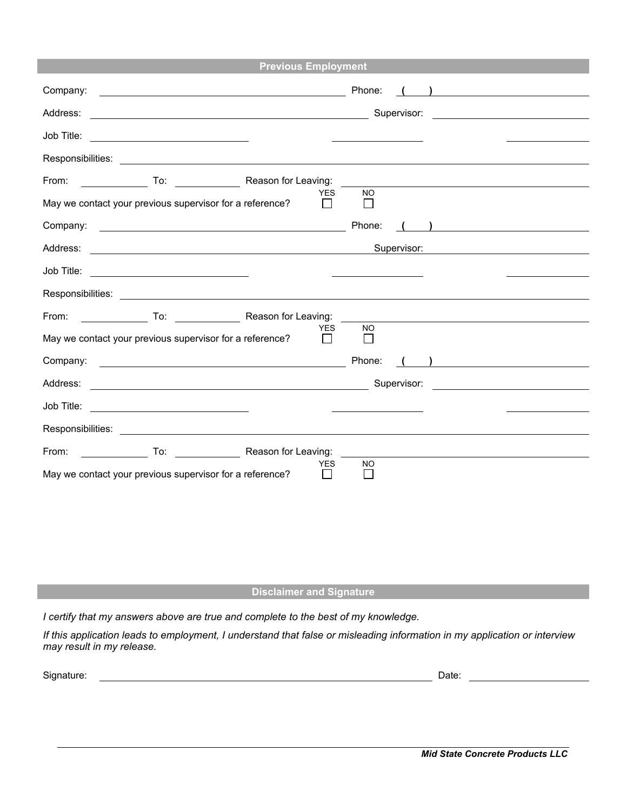| <b>Previous Employment</b>                                                                                                                                                                                                     |                                                                                                                                                                                                                                                                                                                                                            |  |  |  |
|--------------------------------------------------------------------------------------------------------------------------------------------------------------------------------------------------------------------------------|------------------------------------------------------------------------------------------------------------------------------------------------------------------------------------------------------------------------------------------------------------------------------------------------------------------------------------------------------------|--|--|--|
| Company:<br><u> 1989 - Johann Harry Harry Harry Harry Harry Harry Harry Harry Harry Harry Harry Harry Harry Harry Harry Harry</u>                                                                                              | Phone:<br>$\begin{picture}(20,20)(-0.0,0.0) \put(0,0){\line(1,0){10}} \put(15,0){\line(1,0){10}} \put(15,0){\line(1,0){10}} \put(15,0){\line(1,0){10}} \put(15,0){\line(1,0){10}} \put(15,0){\line(1,0){10}} \put(15,0){\line(1,0){10}} \put(15,0){\line(1,0){10}} \put(15,0){\line(1,0){10}} \put(15,0){\line(1,0){10}} \put(15,0){\line(1,0){10}} \put($ |  |  |  |
| Address:<br><u> 1989 - Johann Harry Harry Harry Harry Harry Harry Harry Harry Harry Harry Harry Harry Harry Harry Harry Harry</u>                                                                                              | Supervisor:<br><u> 1980 - Andrea Station (b. 1980)</u>                                                                                                                                                                                                                                                                                                     |  |  |  |
| Job Title:                                                                                                                                                                                                                     |                                                                                                                                                                                                                                                                                                                                                            |  |  |  |
| Responsibilities: New York State State State State State State State State State State State State State State State State State State State State State State State State State State State State State State State State Sta |                                                                                                                                                                                                                                                                                                                                                            |  |  |  |
| From:<br>To: Reason for Leaving:                                                                                                                                                                                               |                                                                                                                                                                                                                                                                                                                                                            |  |  |  |
| <b>YES</b><br>May we contact your previous supervisor for a reference?                                                                                                                                                         | <b>NO</b><br>$\perp$                                                                                                                                                                                                                                                                                                                                       |  |  |  |
| Company:<br><u> 1989 - Johann Harry Harry Harry Harry Harry Harry Harry Harry Harry Harry Harry Harry Harry Harry Harry Harry</u>                                                                                              | Phone:<br>$\left(\begin{array}{c} \begin{array}{c} \begin{array}{c} \end{array}\\ \end{array}\right)$                                                                                                                                                                                                                                                      |  |  |  |
| Address:<br><u> Alexandria de la contrada de la contrada de la contrada de la contrada de la contrada de la contrada de la c</u>                                                                                               | Supervisor:                                                                                                                                                                                                                                                                                                                                                |  |  |  |
|                                                                                                                                                                                                                                |                                                                                                                                                                                                                                                                                                                                                            |  |  |  |
|                                                                                                                                                                                                                                |                                                                                                                                                                                                                                                                                                                                                            |  |  |  |
| From:<br>To: Reason for Leaving:                                                                                                                                                                                               |                                                                                                                                                                                                                                                                                                                                                            |  |  |  |
| <b>YES</b><br>May we contact your previous supervisor for a reference?                                                                                                                                                         | <b>NO</b>                                                                                                                                                                                                                                                                                                                                                  |  |  |  |
|                                                                                                                                                                                                                                | Phone:<br>$\left(\begin{array}{cc} \end{array}\right)$                                                                                                                                                                                                                                                                                                     |  |  |  |
|                                                                                                                                                                                                                                |                                                                                                                                                                                                                                                                                                                                                            |  |  |  |
| Job Title: _________________________________                                                                                                                                                                                   |                                                                                                                                                                                                                                                                                                                                                            |  |  |  |
|                                                                                                                                                                                                                                |                                                                                                                                                                                                                                                                                                                                                            |  |  |  |
| From:<br>To: Reason for Leaving:                                                                                                                                                                                               |                                                                                                                                                                                                                                                                                                                                                            |  |  |  |
| YES.<br><b>NO</b><br>May we contact your previous supervisor for a reference?                                                                                                                                                  |                                                                                                                                                                                                                                                                                                                                                            |  |  |  |

## **Disclaimer and Signature**

*I certify that my answers above are true and complete to the best of my knowledge.*

If this application leads to employment, I understand that false or misleading information in my application or interview *may result in my release.*